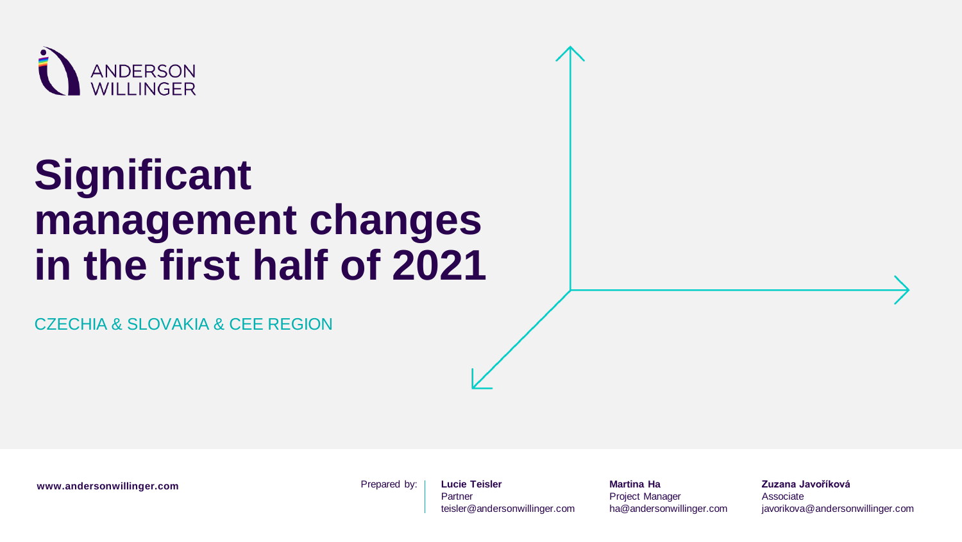

# **Significant management changes in the first half of 2021**

CZECHIA & SLOVAKIA & CEE REGION

www.andersonwillinger.com **Prepared by:** 

**Lucie Teisler** Partner teisler@andersonwillinger.com

**Martina Ha** Project Manager ha@andersonwillinger.com

**Zuzana Javoříková** Associate javorikova@andersonwillinger.com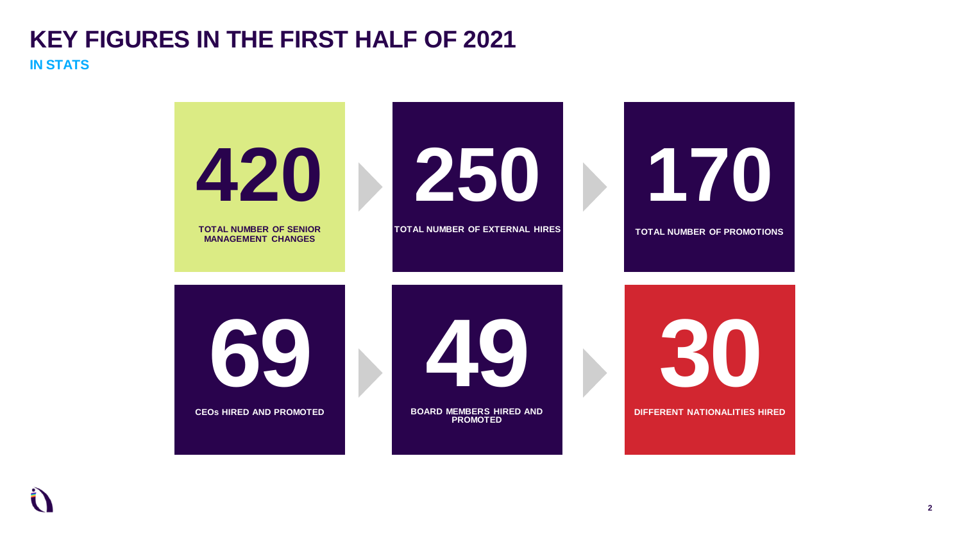#### **KEY FIGURES IN THE FIRST HALF OF 2021 IN STATS**

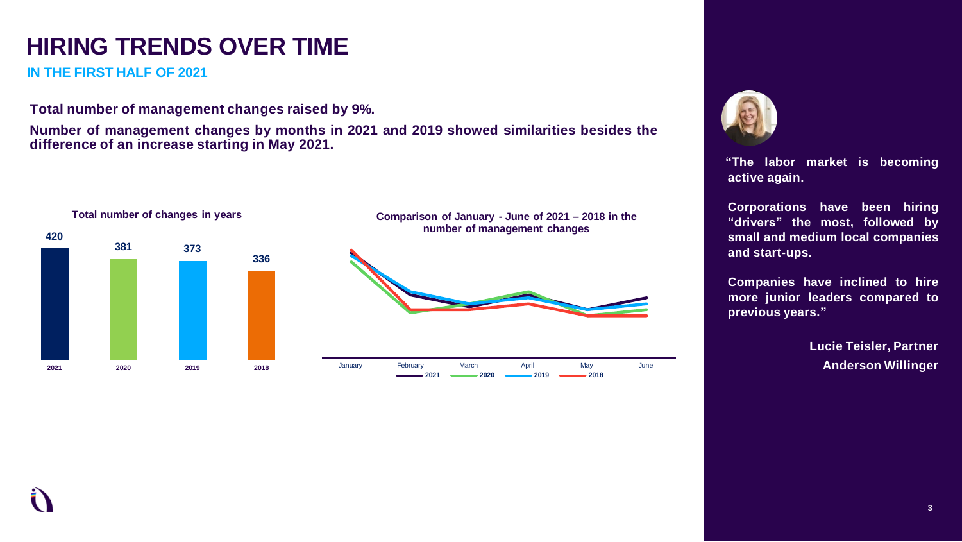## **HIRING TRENDS OVER TIME**

**IN THE FIRST HALF OF 2021**

**Total number of management changes raised by 9%.**

**Number of management changes by months in 2021 and 2019 showed similarities besides the difference of an increase starting in May 2021.**





**"The labor market is becoming active again.**

**Corporations have been hiring "drivers" the most, followed by small and medium local companies and start-ups.**

**Companies have inclined to hire more junior leaders compared to previous years."**

> **Lucie Teisler, Partner Anderson Willinger**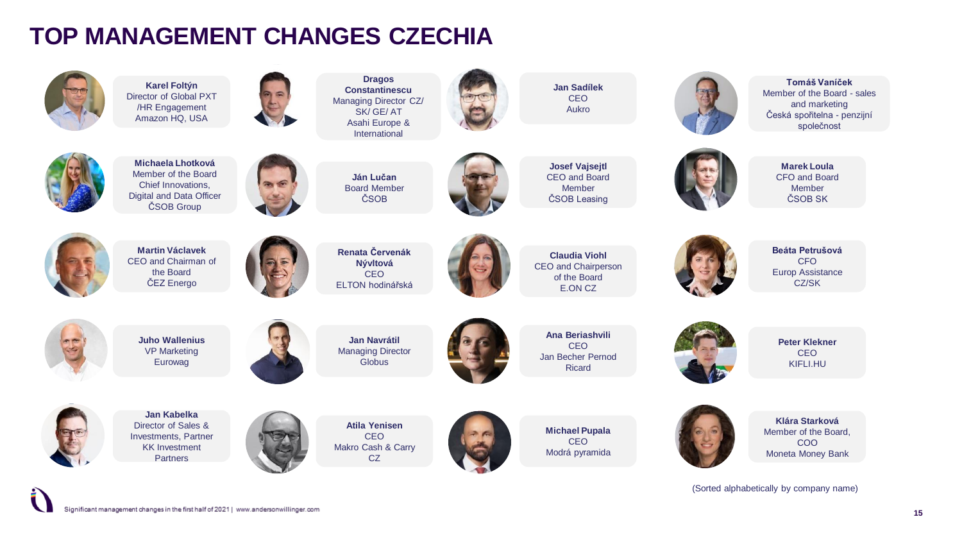### **TOP MANAGEMENT CHANGES CZECHIA**

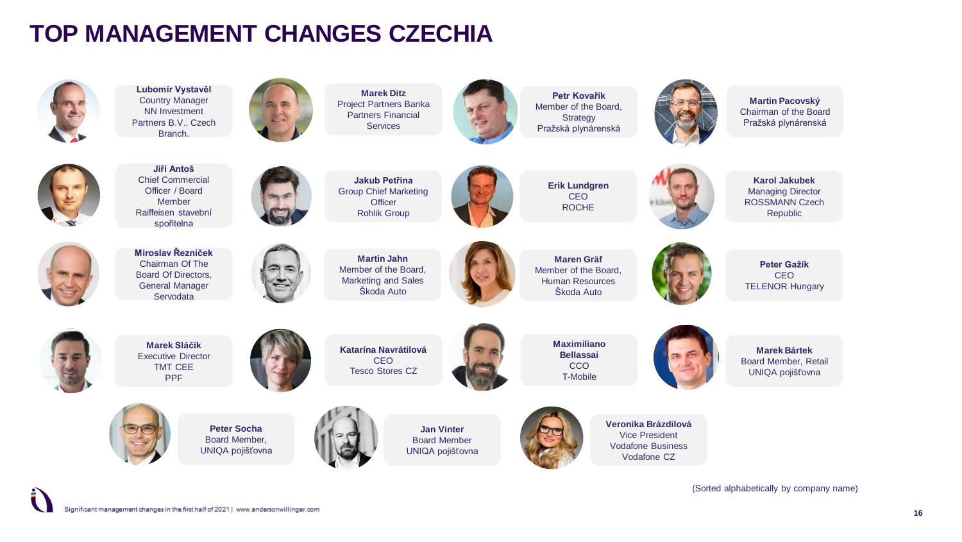### **TOP MANAGEMENT CHANGES CZECHIA**



**Lubomír Vystavěl** Country Manager NN Investment Partners B.V., Czech Branch.



**Marek Ditz** Project Partners Banka Partners Financial Services



**Petr Kovařík** Member of the Board, **Strategy** Pražská plynárenská

**Martin Pacovský** Chairman of the Board Pražská plynárenská



**Jiří Antoš** Chief Commercial Officer / Board Member Raiffeisen stavební spořitelna



**Jakub Petřina** Group Chief Marketing **Officer** Rohlik Group

**Erik Lundgren** CEO ROCHE



**Karol Jakubek** Managing Director ROSSMANN Czech Republic



**Miroslav Řezníček** Chairman Of The Board Of Directors, General Manager Servodata





**Maren Gräf** Member of the Board, Human Resources Škoda Auto



**Peter Gažík** CEO TELENOR Hungary



**Marek Sláčík** Executive Director TMT CEE PPF



**Katarína Navrátilová**  CEO Tesco Stores CZ



**Maximiliano Bellassai** CCO T-Mobile



**Marek Bártek** Board Member, Retail UNIQA pojišťovna



**Peter Socha** Board Member, UNIQA pojišťovna



**Jan Vinter** Board Member UNIQA pojišťovna



**Veronika Brázdilová** Vice President Vodafone Business Vodafone CZ

(Sorted alphabetically by company name)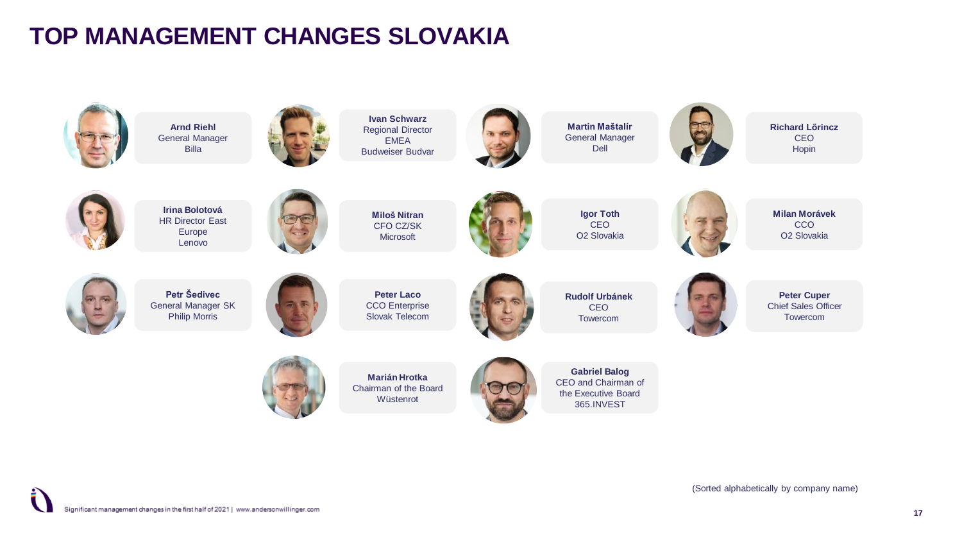### **TOP MANAGEMENT CHANGES SLOVAKIA**

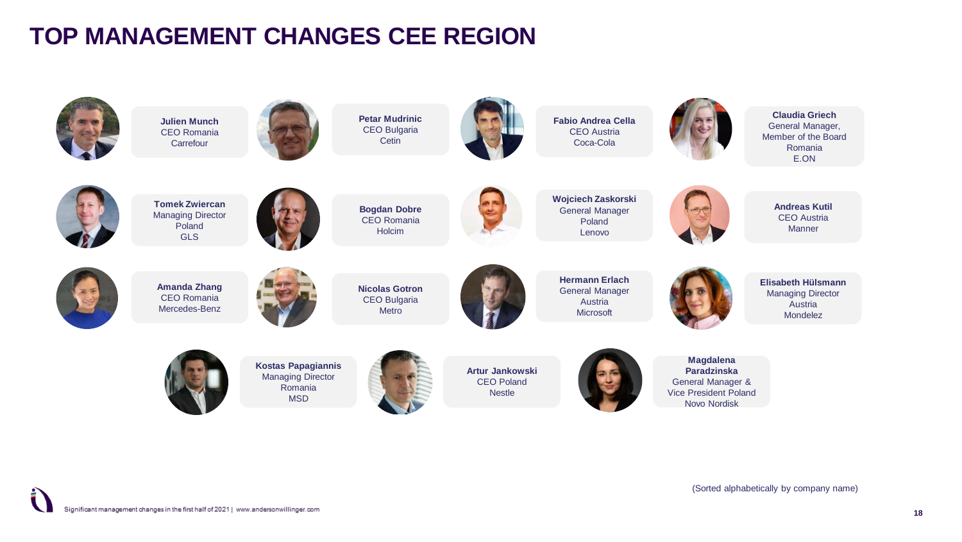## **TOP MANAGEMENT CHANGES CEE REGION**

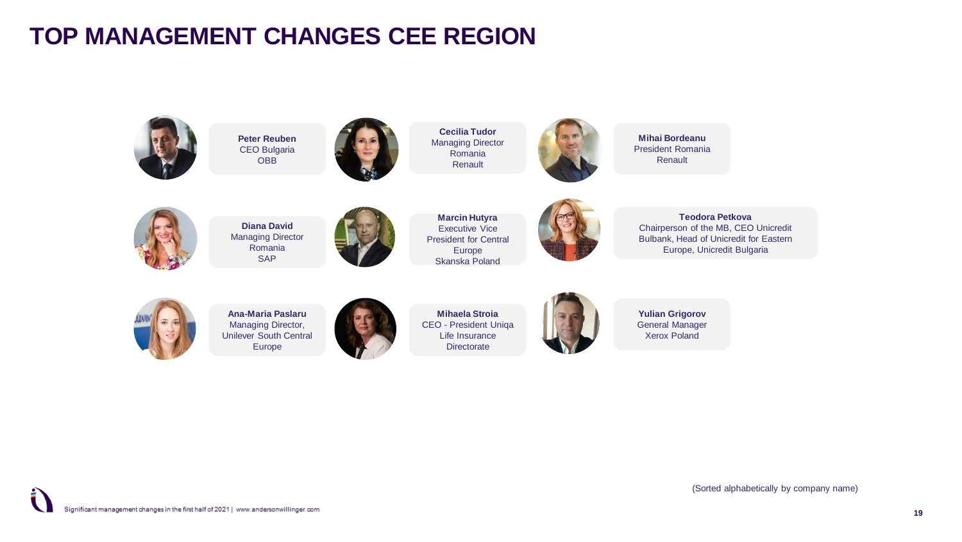### **TOP MANAGEMENT CHANGES CEE REGION**



**Peter Reuben** CEO Bulgaria **OBB** 



**Cecilia Tudor** Managing Director Romania Renault



**Mihai Bordeanu** President Romania Renault



**Diana David** Managing Director Romania SAP

**Marcin Hutyra** Executive Vice President for Central Europe Skanska Poland



**Teodora Petkova** Chairperson of the MB, CEO Unicredit Bulbank, Head of Unicredit for Eastern Europe, Unicredit Bulgaria



**Ana-Maria Paslaru** Managing Director, Unilever South Central Europe

**Mihaela Stroia** CEO - President Uniqa Life Insurance **Directorate** 



**Yulian Grigorov** General Manager Xerox Poland